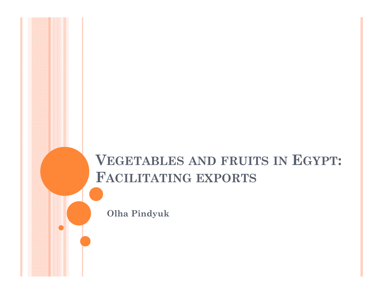# **VEGETABLES AND FRUITS IN EGYPT: FACILITATING EXPORTS**

**Olha Pindyuk**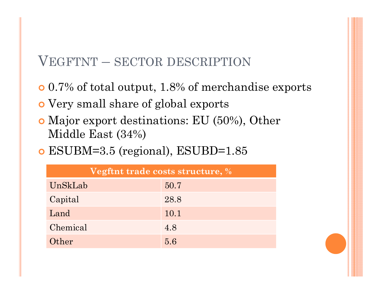#### VEGFTNT – SECTOR DESCRIPTION

- 0.7% of total output, 1.8% of merchandise exports
- Very small share of global exports
- Major export destinations: EU (50%), Other Middle East (34%)
- ESUBM=3.5 (regional), ESUBD=1.85

| Vegftnt trade costs structure, % |      |  |  |  |  |  |
|----------------------------------|------|--|--|--|--|--|
| UnSkLab                          | 50.7 |  |  |  |  |  |
| Capital                          | 28.8 |  |  |  |  |  |
| Land                             | 10.1 |  |  |  |  |  |
| Chemical                         | 4.8  |  |  |  |  |  |
| Other                            | 5.6  |  |  |  |  |  |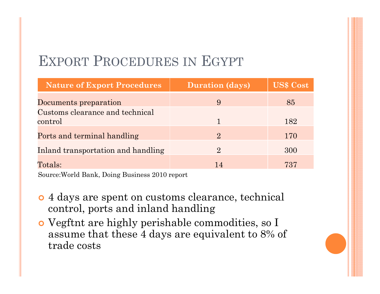# EXPORT PROCEDURES IN EGYPT

| <b>Nature of Export Procedures</b> | <b>Duration (days)</b> | <b>US\$ Cost</b> |
|------------------------------------|------------------------|------------------|
| Documents preparation              | 9                      | 85               |
| Customs clearance and technical    |                        |                  |
| control                            |                        | 182              |
| Ports and terminal handling        | $\Omega$               | 170              |
| Inland transportation and handling | $\mathbf{2}$           | 300              |
| $\text{Totals:}$                   | 14                     | 737              |

Source:World Bank, Doing Business 2010 report

- 4 days are spent on customs clearance, technical control, ports and inland handling
- Vegftnt are highly perishable commodities, so I assume that these 4 days are equivalent to 8% of trade costs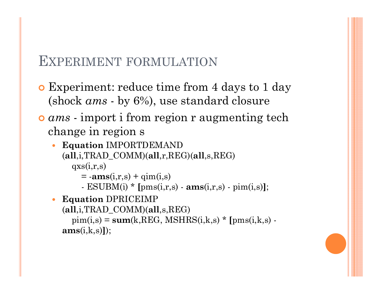#### EXPERIMENT FORMULATION

- Experiment: reduce time from 4 days to 1 day (shock *ams* - by 6%), use standard closure
- *ams* import i from region r augmenting tech change in region s
	- $\bullet$  **Equation** IMPORTDEMAND (**all**,i,TRAD\_COMM)(**all**,r,REG)(**all**,s,REG)  $qxs(i,r,s)$ 
		- $= -\mathbf{ams}(i,r,s) + \text{qim}(i,s)$
		- ESUBM(i) \* **[**pms(i,r,s) **ams**(i,r,s) pim(i,s)**]**;
	- $\bullet$ **Equation** DPRICEIMP

(**all**,i,TRAD\_COMM)(**all**,s,REG)  $pim(i,s) = sum(k,REG, MSHRS(i,k,s) * [pms(i,k,s)$ **ams**(i,k,s)**]**);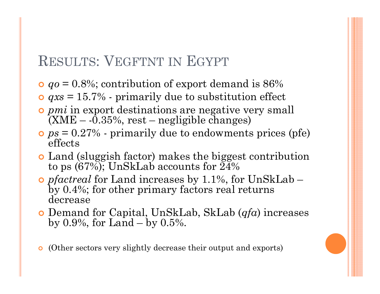# RESULTS: VEGFTNT IN EGYPT

- *qo* = 0.8%; contribution of export demand is 86%
- *qxs* = 15.7% primarily due to substitution effect
- *pmi* in export destinations are negative very small  $(XME - 0.35\%, rest - negligible changes)$
- *ps* = 0.27% primarily due to endowments prices (pfe) effects
- Land (sluggish factor) makes the biggest contribution to ps  $(67\%)$ ; UnSkLab accounts for  $24\%$
- *pfactreal* for Land increases by 1.1%, for UnSkLab by 0.4%; for other primary factors real returns decrease
- Demand for Capital, UnSkLab, SkLab (*qfa*) increases by 0.9%, for  $Land - by 0.5%$ .
- (Other sectors very slightly decrease their output and exports)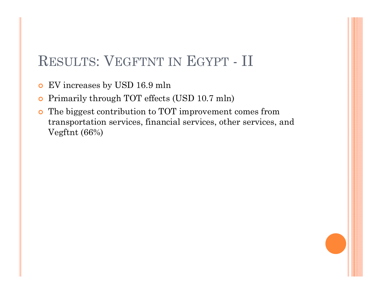# RESULTS: VEGFTNT IN EGYPT - II

- $\overline{O}$ EV increases by USD 16.9 mln
- $\bullet$ Primarily through TOT effects (USD 10.7 mln)
- The biggest contribution to TOT improvement comes from transportation services, financial services, other services, and Vegftnt (66%)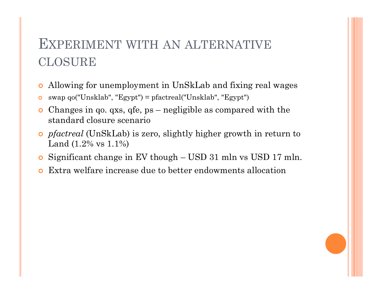# EXPERIMENT WITH AN ALTERNATIVECLOSURE

- $\bullet$ Allowing for unemployment in UnSkLab and fixing real wages
- swap qo("Unsklab", "Egypt") = pfactreal("Unsklab", "Egypt")
- Changes in qo. qxs, qfe, ps negligible as compared with the standard closure scenario
- *pfactreal* (UnSkLab) is zero, slightly higher growth in return to Land (1.2% vs 1.1%)
- **o** Significant change in EV though USD 31 mln vs USD 17 mln.
- $\bullet$ Extra welfare increase due to better endowments allocation